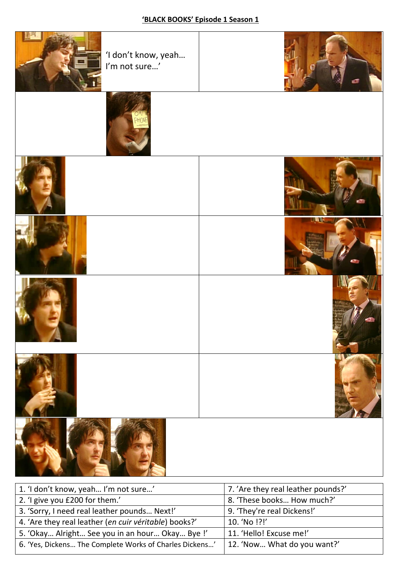

| 1. 'I don't know, yeah I'm not sure'                    | 7. 'Are they real leather pounds?' |
|---------------------------------------------------------|------------------------------------|
| 2. 'I give you £200 for them.'                          | 8. 'These books How much?'         |
| 3. 'Sorry, I need real leather pounds Next!'            | 9. 'They're real Dickens!'         |
| 4. 'Are they real leather (en cuir véritable) books?'   | 10. 'No !?!'                       |
| 5. 'Okay Alright See you in an hour Okay Bye !'         | 11. 'Hello! Excuse me!'            |
| 6. 'Yes, Dickens The Complete Works of Charles Dickens' | 12. 'Now What do you want?'        |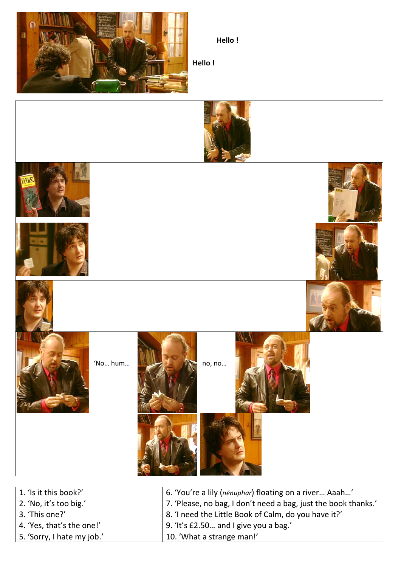

**Hello !**

**Hello !**



| 1. 'Is it this book?'      | 6. 'You're a lily (nénuphar) floating on a river Aaah'         |
|----------------------------|----------------------------------------------------------------|
| 2. 'No, it's too big.'     | 7. 'Please, no bag, I don't need a bag, just the book thanks.' |
| 3. 'This one?'             | 8. 'I need the Little Book of Calm, do you have it?'           |
| 4. 'Yes, that's the one!'  | 9. 'It's £2.50 and I give you a bag.'                          |
| 5. 'Sorry, I hate my job.' | 10. 'What a strange man!'                                      |
|                            |                                                                |